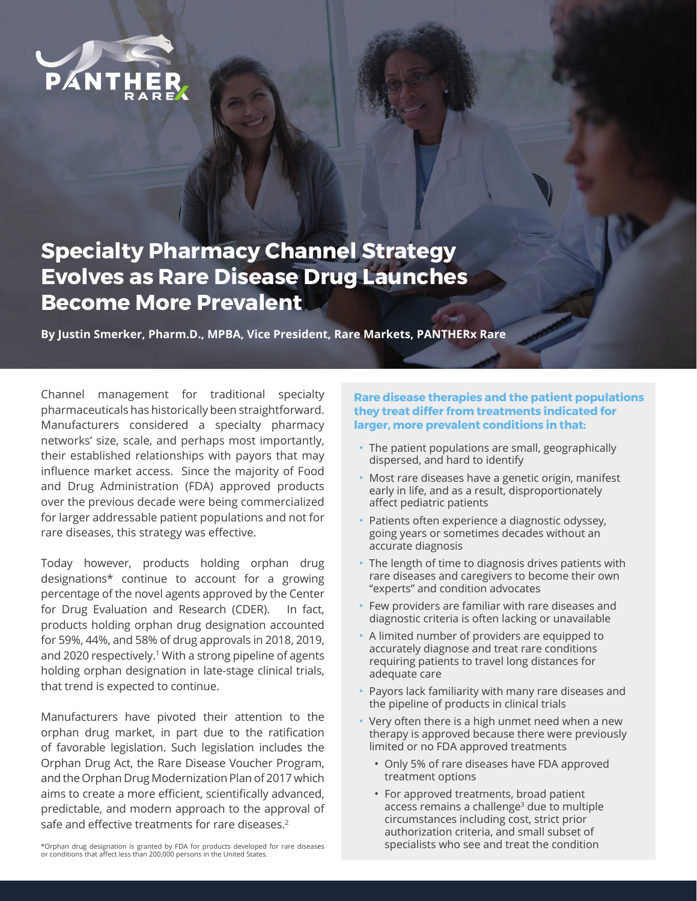

## **Specialty Pharmacy Channel Strategy Evolves as Rare Disease Drug Launches Become More Prevalent**

**By Justin Smerker, Pharm.D., MPBA, Vice President, Rare Markets, PANTHERx Rare**

Channel management for traditional specialty pharmaceuticals has historically been straightforward. Manufacturers considered a specialty pharmacy networks' size, scale, and perhaps most importantly, their established relationships with payors that may influence market access. Since the majority of Food and Drug Administration (FDA) approved products over the previous decade were being commercialized for larger addressable patient populations and not for rare diseases, this strategy was effective.

Today however, products holding orphan drug designations\* continue to account for a growing percentage of the novel agents approved by the Center for Drug Evaluation and Research (CDER). In fact, products holding orphan drug designation accounted for 59%, 44%, and 58% of drug approvals in 2018, 2019, and 2020 respectively.<sup>1</sup> With a strong pipeline of agents holding orphan designation in late-stage clinical trials, that trend is expected to continue.

Manufacturers have pivoted their attention to the orphan drug market, in part due to the ratification of favorable legislation. Such legislation includes the Orphan Drug Act, the Rare Disease Voucher Program, and the Orphan Drug Modernization Plan of 2017 which aims to create a more efficient, scientifically advanced, predictable, and modern approach to the approval of safe and effective treatments for rare diseases.<sup>2</sup>

\*Orphan drug designation is granted by FDA for products developed for rare diseases or conditions that affect less than 200,000 persons in the United States.

## **Rare disease therapies and the patient populations they treat differ from treatments indicated for larger, more prevalent conditions in that:**

- The patient populations are small, geographically dispersed, and hard to identify
- Most rare diseases have a genetic origin, manifest early in life, and as a result, disproportionately affect pediatric patients
- Patients often experience a diagnostic odyssey, going years or sometimes decades without an accurate diagnosis
- The length of time to diagnosis drives patients with rare diseases and caregivers to become their own "experts" and condition advocates
- Few providers are familiar with rare diseases and diagnostic criteria is often lacking or unavailable
- A limited number of providers are equipped to accurately diagnose and treat rare conditions requiring patients to travel long distances for adequate care
- Payors lack familiarity with many rare diseases and the pipeline of products in clinical trials
- Very often there is a high unmet need when a new therapy is approved because there were previously limited or no FDA approved treatments
	- Only 5% of rare diseases have FDA approved treatment options
	- For approved treatments, broad patient access remains a challenge<sup>3</sup> due to multiple circumstances including cost, strict prior authorization criteria, and small subset of